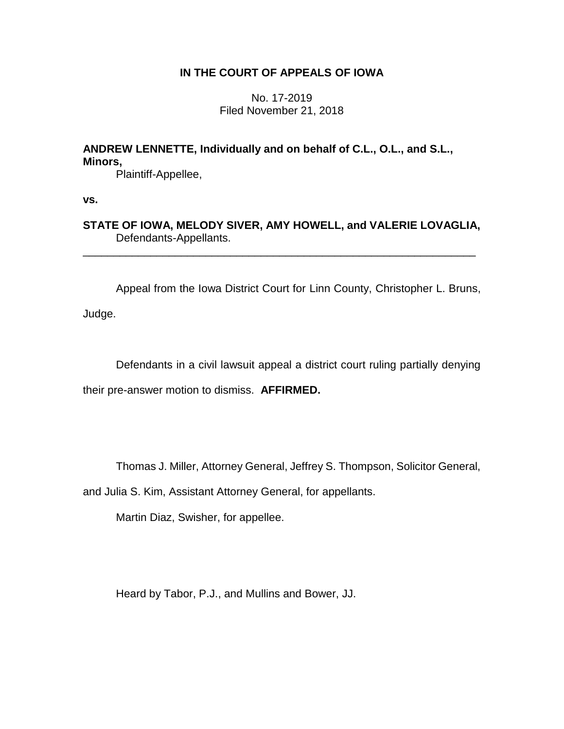## **IN THE COURT OF APPEALS OF IOWA**

No. 17-2019 Filed November 21, 2018

# **ANDREW LENNETTE, Individually and on behalf of C.L., O.L., and S.L., Minors,**

Plaintiff-Appellee,

**vs.**

**STATE OF IOWA, MELODY SIVER, AMY HOWELL, and VALERIE LOVAGLIA,** Defendants-Appellants.

\_\_\_\_\_\_\_\_\_\_\_\_\_\_\_\_\_\_\_\_\_\_\_\_\_\_\_\_\_\_\_\_\_\_\_\_\_\_\_\_\_\_\_\_\_\_\_\_\_\_\_\_\_\_\_\_\_\_\_\_\_\_\_\_

Appeal from the Iowa District Court for Linn County, Christopher L. Bruns, Judge.

Defendants in a civil lawsuit appeal a district court ruling partially denying

their pre-answer motion to dismiss. **AFFIRMED.** 

Thomas J. Miller, Attorney General, Jeffrey S. Thompson, Solicitor General,

and Julia S. Kim, Assistant Attorney General, for appellants.

Martin Diaz, Swisher, for appellee.

Heard by Tabor, P.J., and Mullins and Bower, JJ.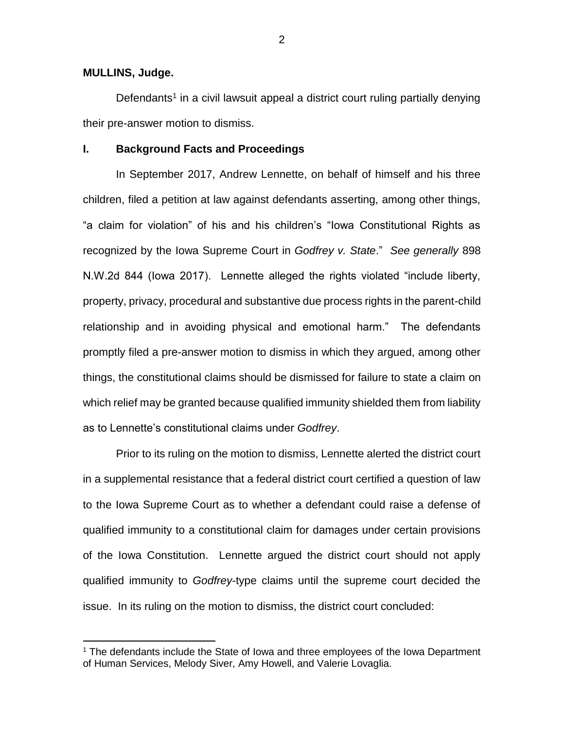## **MULLINS, Judge.**

 $\overline{a}$ 

Defendants<sup>1</sup> in a civil lawsuit appeal a district court ruling partially denying their pre-answer motion to dismiss.

## **I. Background Facts and Proceedings**

In September 2017, Andrew Lennette, on behalf of himself and his three children, filed a petition at law against defendants asserting, among other things, "a claim for violation" of his and his children's "Iowa Constitutional Rights as recognized by the Iowa Supreme Court in *Godfrey v. State*." *See generally* 898 N.W.2d 844 (Iowa 2017). Lennette alleged the rights violated "include liberty, property, privacy, procedural and substantive due process rights in the parent-child relationship and in avoiding physical and emotional harm." The defendants promptly filed a pre-answer motion to dismiss in which they argued, among other things, the constitutional claims should be dismissed for failure to state a claim on which relief may be granted because qualified immunity shielded them from liability as to Lennette's constitutional claims under *Godfrey*.

Prior to its ruling on the motion to dismiss, Lennette alerted the district court in a supplemental resistance that a federal district court certified a question of law to the Iowa Supreme Court as to whether a defendant could raise a defense of qualified immunity to a constitutional claim for damages under certain provisions of the Iowa Constitution. Lennette argued the district court should not apply qualified immunity to *Godfrey*-type claims until the supreme court decided the issue. In its ruling on the motion to dismiss, the district court concluded:

<sup>&</sup>lt;sup>1</sup> The defendants include the State of Iowa and three employees of the Iowa Department of Human Services, Melody Siver, Amy Howell, and Valerie Lovaglia.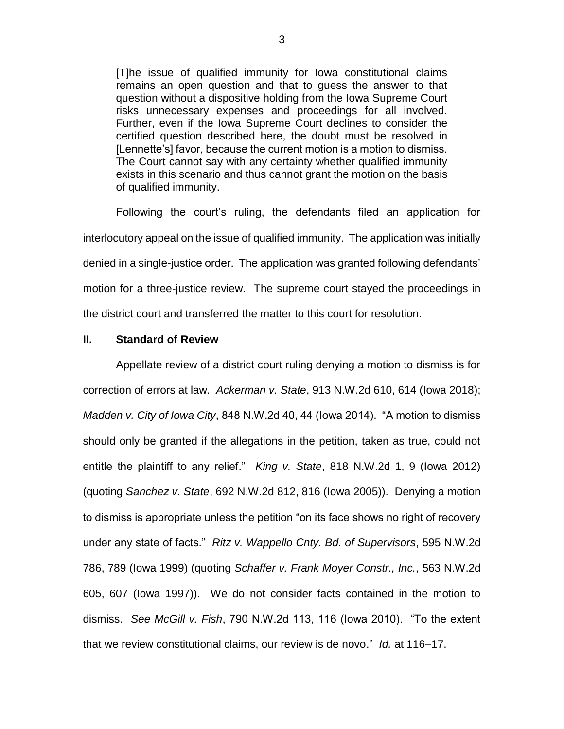[T]he issue of qualified immunity for Iowa constitutional claims remains an open question and that to guess the answer to that question without a dispositive holding from the Iowa Supreme Court risks unnecessary expenses and proceedings for all involved. Further, even if the Iowa Supreme Court declines to consider the certified question described here, the doubt must be resolved in [Lennette's] favor, because the current motion is a motion to dismiss. The Court cannot say with any certainty whether qualified immunity exists in this scenario and thus cannot grant the motion on the basis of qualified immunity.

Following the court's ruling, the defendants filed an application for interlocutory appeal on the issue of qualified immunity. The application was initially denied in a single-justice order. The application was granted following defendants' motion for a three-justice review. The supreme court stayed the proceedings in the district court and transferred the matter to this court for resolution.

## **II. Standard of Review**

Appellate review of a district court ruling denying a motion to dismiss is for correction of errors at law. *Ackerman v. State*, 913 N.W.2d 610, 614 (Iowa 2018); *Madden v. City of Iowa City*, 848 N.W.2d 40, 44 (Iowa 2014). "A motion to dismiss should only be granted if the allegations in the petition, taken as true, could not entitle the plaintiff to any relief." *King v. State*, 818 N.W.2d 1, 9 (Iowa 2012) (quoting *Sanchez v. State*, 692 N.W.2d 812, 816 (Iowa 2005)). Denying a motion to dismiss is appropriate unless the petition "on its face shows no right of recovery under any state of facts." *Ritz v. Wappello Cnty. Bd. of Supervisors*, 595 N.W.2d 786, 789 (Iowa 1999) (quoting *Schaffer v. Frank Moyer Constr., Inc.*, 563 N.W.2d 605, 607 (Iowa 1997)). We do not consider facts contained in the motion to dismiss. *See McGill v. Fish*, 790 N.W.2d 113, 116 (Iowa 2010). "To the extent that we review constitutional claims, our review is de novo." *Id.* at 116–17.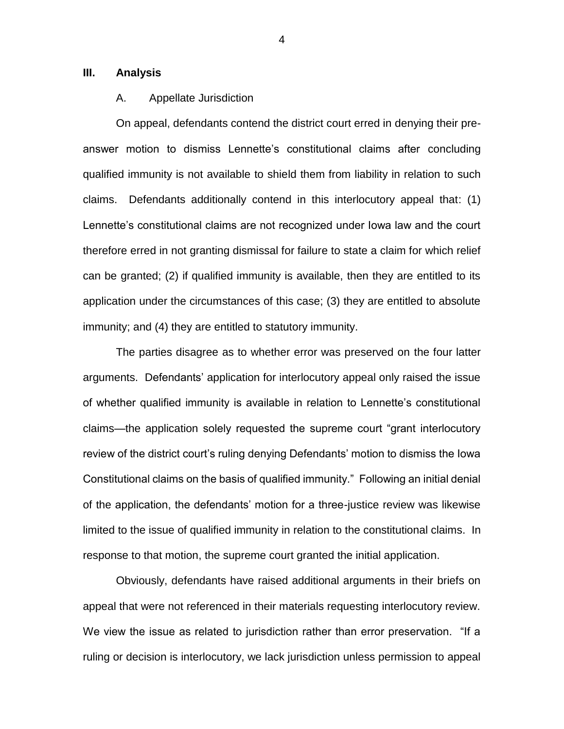## **III. Analysis**

## A. Appellate Jurisdiction

On appeal, defendants contend the district court erred in denying their preanswer motion to dismiss Lennette's constitutional claims after concluding qualified immunity is not available to shield them from liability in relation to such claims. Defendants additionally contend in this interlocutory appeal that: (1) Lennette's constitutional claims are not recognized under Iowa law and the court therefore erred in not granting dismissal for failure to state a claim for which relief can be granted; (2) if qualified immunity is available, then they are entitled to its application under the circumstances of this case; (3) they are entitled to absolute immunity; and (4) they are entitled to statutory immunity.

The parties disagree as to whether error was preserved on the four latter arguments. Defendants' application for interlocutory appeal only raised the issue of whether qualified immunity is available in relation to Lennette's constitutional claims—the application solely requested the supreme court "grant interlocutory review of the district court's ruling denying Defendants' motion to dismiss the Iowa Constitutional claims on the basis of qualified immunity." Following an initial denial of the application, the defendants' motion for a three-justice review was likewise limited to the issue of qualified immunity in relation to the constitutional claims. In response to that motion, the supreme court granted the initial application.

Obviously, defendants have raised additional arguments in their briefs on appeal that were not referenced in their materials requesting interlocutory review. We view the issue as related to jurisdiction rather than error preservation. "If a ruling or decision is interlocutory, we lack jurisdiction unless permission to appeal

4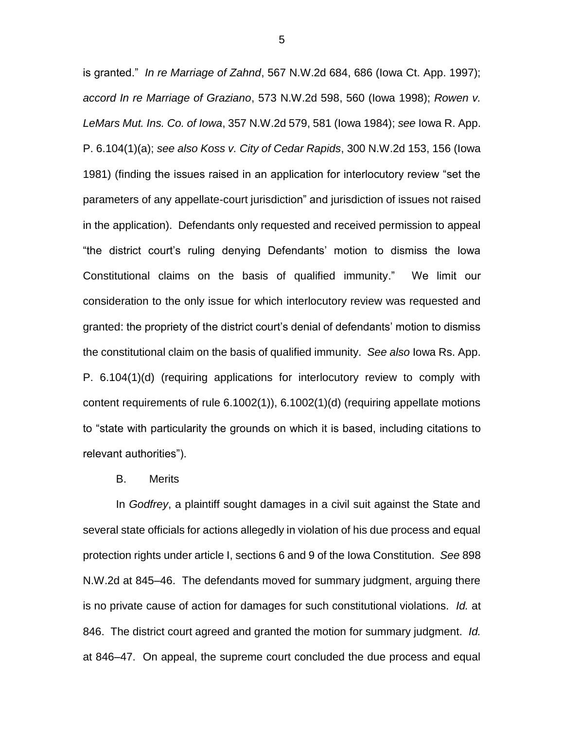is granted." *In re Marriage of Zahnd*, 567 N.W.2d 684, 686 (Iowa Ct. App. 1997); *accord In re Marriage of Graziano*, 573 N.W.2d 598, 560 (Iowa 1998); *Rowen v. LeMars Mut. Ins. Co. of Iowa*, 357 N.W.2d 579, 581 (Iowa 1984); *see* Iowa R. App. P. 6.104(1)(a); *see also Koss v. City of Cedar Rapids*, 300 N.W.2d 153, 156 (Iowa 1981) (finding the issues raised in an application for interlocutory review "set the parameters of any appellate-court jurisdiction" and jurisdiction of issues not raised in the application). Defendants only requested and received permission to appeal "the district court's ruling denying Defendants' motion to dismiss the Iowa Constitutional claims on the basis of qualified immunity." We limit our consideration to the only issue for which interlocutory review was requested and granted: the propriety of the district court's denial of defendants' motion to dismiss the constitutional claim on the basis of qualified immunity. *See also* Iowa Rs. App. P. 6.104(1)(d) (requiring applications for interlocutory review to comply with content requirements of rule 6.1002(1)), 6.1002(1)(d) (requiring appellate motions to "state with particularity the grounds on which it is based, including citations to relevant authorities").

#### B. Merits

In *Godfrey*, a plaintiff sought damages in a civil suit against the State and several state officials for actions allegedly in violation of his due process and equal protection rights under article I, sections 6 and 9 of the Iowa Constitution. *See* 898 N.W.2d at 845–46. The defendants moved for summary judgment, arguing there is no private cause of action for damages for such constitutional violations. *Id.* at 846. The district court agreed and granted the motion for summary judgment. *Id.* at 846–47. On appeal, the supreme court concluded the due process and equal

5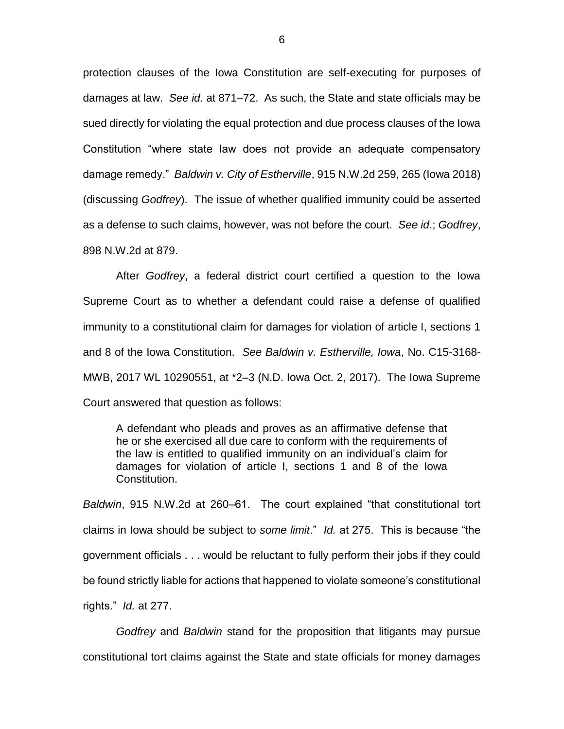protection clauses of the Iowa Constitution are self-executing for purposes of damages at law. *See id.* at 871–72. As such, the State and state officials may be sued directly for violating the equal protection and due process clauses of the Iowa Constitution "where state law does not provide an adequate compensatory damage remedy." *Baldwin v. City of Estherville*, 915 N.W.2d 259, 265 (Iowa 2018) (discussing *Godfrey*). The issue of whether qualified immunity could be asserted as a defense to such claims, however, was not before the court. *See id.*; *Godfrey*, 898 N.W.2d at 879.

After *Godfrey*, a federal district court certified a question to the Iowa Supreme Court as to whether a defendant could raise a defense of qualified immunity to a constitutional claim for damages for violation of article I, sections 1 and 8 of the Iowa Constitution. *See Baldwin v. Estherville, Iowa*, No. C15-3168- MWB, 2017 WL 10290551, at \*2–3 (N.D. Iowa Oct. 2, 2017). The Iowa Supreme Court answered that question as follows:

A defendant who pleads and proves as an affirmative defense that he or she exercised all due care to conform with the requirements of the law is entitled to qualified immunity on an individual's claim for damages for violation of article I, sections 1 and 8 of the Iowa Constitution.

*Baldwin*, 915 N.W.2d at 260–61. The court explained "that constitutional tort claims in Iowa should be subject to *some limit*." *Id.* at 275. This is because "the government officials . . . would be reluctant to fully perform their jobs if they could be found strictly liable for actions that happened to violate someone's constitutional rights." *Id.* at 277.

*Godfrey* and *Baldwin* stand for the proposition that litigants may pursue constitutional tort claims against the State and state officials for money damages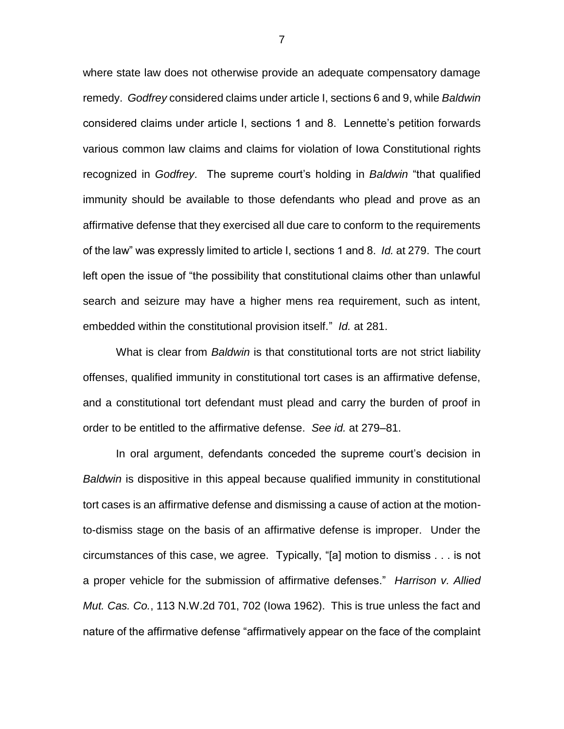where state law does not otherwise provide an adequate compensatory damage remedy. *Godfrey* considered claims under article I, sections 6 and 9, while *Baldwin*  considered claims under article I, sections 1 and 8. Lennette's petition forwards various common law claims and claims for violation of Iowa Constitutional rights recognized in *Godfrey*. The supreme court's holding in *Baldwin* "that qualified immunity should be available to those defendants who plead and prove as an affirmative defense that they exercised all due care to conform to the requirements of the law" was expressly limited to article I, sections 1 and 8. *Id.* at 279. The court left open the issue of "the possibility that constitutional claims other than unlawful search and seizure may have a higher mens rea requirement, such as intent, embedded within the constitutional provision itself." *Id.* at 281.

What is clear from *Baldwin* is that constitutional torts are not strict liability offenses, qualified immunity in constitutional tort cases is an affirmative defense, and a constitutional tort defendant must plead and carry the burden of proof in order to be entitled to the affirmative defense. *See id.* at 279–81.

In oral argument, defendants conceded the supreme court's decision in *Baldwin* is dispositive in this appeal because qualified immunity in constitutional tort cases is an affirmative defense and dismissing a cause of action at the motionto-dismiss stage on the basis of an affirmative defense is improper. Under the circumstances of this case, we agree. Typically, "[a] motion to dismiss . . . is not a proper vehicle for the submission of affirmative defenses." *Harrison v. Allied Mut. Cas. Co.*, 113 N.W.2d 701, 702 (Iowa 1962). This is true unless the fact and nature of the affirmative defense "affirmatively appear on the face of the complaint

7